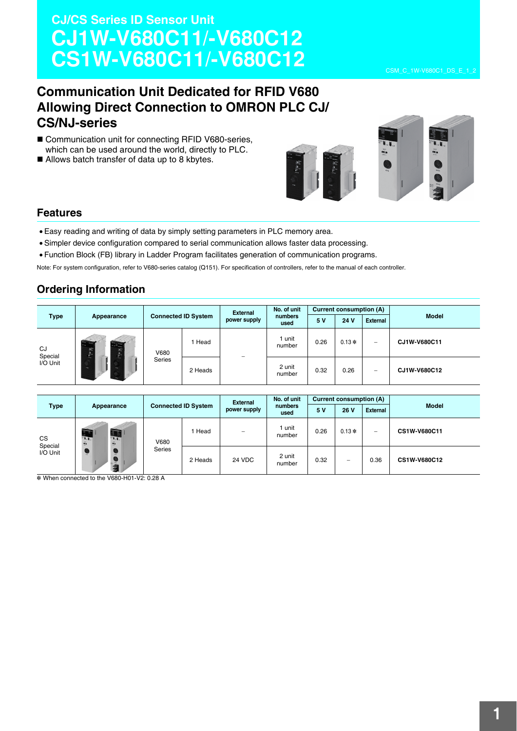# **CJ/CS Series ID Sensor Unit CJ1W-V680C11/-V680C12 CS1W-V680C11/-V680C12**

## **Communication Unit Dedicated for RFID V680 Allowing Direct Connection to OMRON PLC CJ/ CS/NJ-series**

- Communication unit for connecting RFID V680-series, which can be used around the world, directly to PLC.
- Allows batch transfer of data up to 8 kbytes.



### **Features**

- Easy reading and writing of data by simply setting parameters in PLC memory area.
- Simpler device configuration compared to serial communication allows faster data processing.
- Function Block (FB) library in Ladder Program facilitates generation of communication programs.

Note: For system configuration, refer to V680-series catalog (Q151). For specification of controllers, refer to the manual of each controller.

### **Ordering Information**

| <b>Type</b>                                                                                                                                                                 |            | <b>Connected ID System</b> |         | <b>External</b><br>power supply | No. of unit<br>numbers<br>used | Current consumption (A) |      |                 |              |
|-----------------------------------------------------------------------------------------------------------------------------------------------------------------------------|------------|----------------------------|---------|---------------------------------|--------------------------------|-------------------------|------|-----------------|--------------|
|                                                                                                                                                                             | Appearance |                            |         |                                 |                                | 5 V                     | 24 V | <b>External</b> | <b>Model</b> |
| $\mathcal{L}$<br><b>Share</b><br><b>Base</b><br><b>PERMIT</b><br>CJ<br>$\mathcal{G}_{\mathcal{G}_{\mathcal{M}}^{\mathcal{G}}}$<br>蝠<br>Special<br>54.00<br>I/O Unit<br>War. | V680       | Head                       |         | 1 unit<br>number                | 0.26                           | $0.13*$                 |      | CJ1W-V680C11    |              |
|                                                                                                                                                                             |            | Series                     | 2 Heads |                                 | 2 unit<br>number               | 0.32                    | 0.26 |                 | CJ1W-V680C12 |

|                                                                                                                     |                                          |               |         | <b>External</b>          | No. of unit      | Current consumption (A) |                                 |                 |                     |  |
|---------------------------------------------------------------------------------------------------------------------|------------------------------------------|---------------|---------|--------------------------|------------------|-------------------------|---------------------------------|-----------------|---------------------|--|
| <b>Type</b>                                                                                                         | <b>Connected ID System</b><br>Appearance |               |         | power supply             | numbers<br>used  | 5 V                     | 26 V                            | <b>External</b> | <b>Model</b>        |  |
| <b>STAR</b><br>CS<br>$T_{\rm eff}$<br>$\frac{\partial \mathbf{r}}{\partial \mathbf{r}}$<br>Special<br>I/O Unit<br>Ä | 53<br>$\mathbf{v}$<br>$\mathbf{a}$       | V680          | Head    | $\overline{\phantom{m}}$ | l unit<br>number | 0.26                    | $0.13*$                         |                 | CS1W-V680C11        |  |
|                                                                                                                     | $rac{1}{2}$                              | <b>Series</b> | 2 Heads | 24 VDC                   | 2 unit<br>number | 0.32                    | $\hspace{0.1mm}-\hspace{0.1mm}$ | 0.36            | <b>CS1W-V680C12</b> |  |

\* When connected to the V680-H01-V2: 0.28 A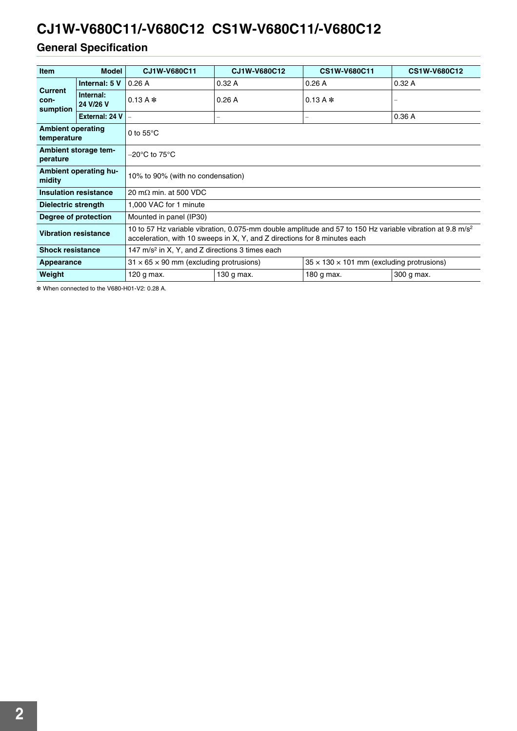## **General Specification**

| <b>Item</b>                                                                                                                                                                                                                       | <b>Model</b>                                               | CJ1W-V680C11                                        | CJ1W-V680C12 | <b>CS1W-V680C11</b>                                   | <b>CS1W-V680C12</b>      |  |  |
|-----------------------------------------------------------------------------------------------------------------------------------------------------------------------------------------------------------------------------------|------------------------------------------------------------|-----------------------------------------------------|--------------|-------------------------------------------------------|--------------------------|--|--|
|                                                                                                                                                                                                                                   | Internal: 5 V                                              | 0.26A                                               | 0.32A        | 0.26A                                                 | 0.32A                    |  |  |
| <b>Current</b><br>con-<br>sumption                                                                                                                                                                                                | Internal:<br>24 V/26 V                                     | 0.13 A $*$                                          | 0.26A        | 0.13 A $*$                                            | $\overline{\phantom{0}}$ |  |  |
|                                                                                                                                                                                                                                   | External: 24 V                                             |                                                     | -            | -                                                     | 0.36A                    |  |  |
| <b>Ambient operating</b><br>0 to $55^{\circ}$ C<br>temperature                                                                                                                                                                    |                                                            |                                                     |              |                                                       |                          |  |  |
| perature                                                                                                                                                                                                                          | Ambient storage tem-<br>–20°C to 75°C                      |                                                     |              |                                                       |                          |  |  |
| midity                                                                                                                                                                                                                            | Ambient operating hu-<br>10% to 90% (with no condensation) |                                                     |              |                                                       |                          |  |  |
| <b>Insulation resistance</b>                                                                                                                                                                                                      |                                                            | 20 m $\Omega$ min. at 500 VDC                       |              |                                                       |                          |  |  |
| Dielectric strength                                                                                                                                                                                                               |                                                            | 1,000 VAC for 1 minute                              |              |                                                       |                          |  |  |
| Degree of protection                                                                                                                                                                                                              |                                                            | Mounted in panel (IP30)                             |              |                                                       |                          |  |  |
| 10 to 57 Hz variable vibration, 0.075-mm double amplitude and 57 to 150 Hz variable vibration at 9.8 m/s <sup>2</sup><br><b>Vibration resistance</b><br>acceleration, with 10 sweeps in X, Y, and Z directions for 8 minutes each |                                                            |                                                     |              |                                                       |                          |  |  |
| <b>Shock resistance</b><br>147 m/s <sup>2</sup> in X, Y, and Z directions 3 times each                                                                                                                                            |                                                            |                                                     |              |                                                       |                          |  |  |
| Appearance                                                                                                                                                                                                                        |                                                            | $31 \times 65 \times 90$ mm (excluding protrusions) |              | $35 \times 130 \times 101$ mm (excluding protrusions) |                          |  |  |
| Weight                                                                                                                                                                                                                            |                                                            | 120 g max.                                          | 130 g max.   | 180 g max.                                            | 300 g max.               |  |  |

\* When connected to the V680-H01-V2: 0.28 A.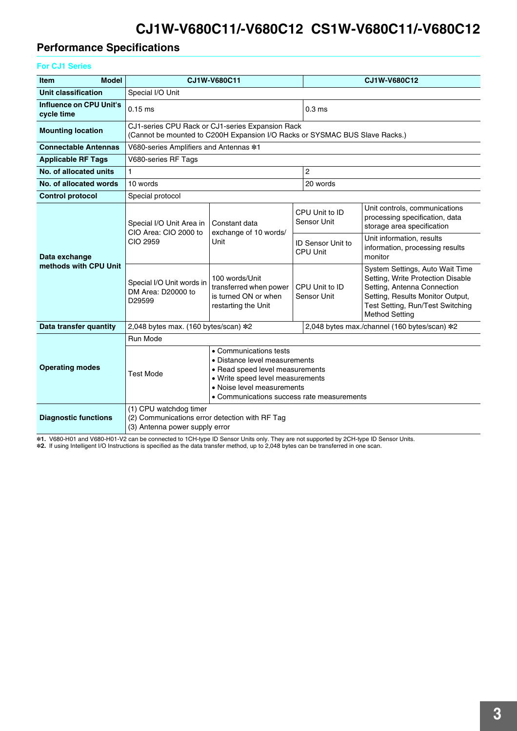## **Performance Specifications**

### **For CJ1 Series**

| <b>Model</b><br><b>Item</b>           |                                                                                                                                                                                                                                | CJ1W-V680C11                                                                            |                               |                                             | CJ1W-V680C12                                                                                                                                                                                         |  |  |  |
|---------------------------------------|--------------------------------------------------------------------------------------------------------------------------------------------------------------------------------------------------------------------------------|-----------------------------------------------------------------------------------------|-------------------------------|---------------------------------------------|------------------------------------------------------------------------------------------------------------------------------------------------------------------------------------------------------|--|--|--|
| Unit classification                   | Special I/O Unit                                                                                                                                                                                                               |                                                                                         |                               |                                             |                                                                                                                                                                                                      |  |  |  |
| Influence on CPU Unit's<br>cycle time | $0.15$ ms                                                                                                                                                                                                                      |                                                                                         |                               | 0.3 <sub>ms</sub>                           |                                                                                                                                                                                                      |  |  |  |
| <b>Mounting location</b>              | CJ1-series CPU Rack or CJ1-series Expansion Rack<br>(Cannot be mounted to C200H Expansion I/O Racks or SYSMAC BUS Slave Racks.)                                                                                                |                                                                                         |                               |                                             |                                                                                                                                                                                                      |  |  |  |
| <b>Connectable Antennas</b>           |                                                                                                                                                                                                                                | V680-series Amplifiers and Antennas *1                                                  |                               |                                             |                                                                                                                                                                                                      |  |  |  |
| <b>Applicable RF Tags</b>             | V680-series RF Tags                                                                                                                                                                                                            |                                                                                         |                               |                                             |                                                                                                                                                                                                      |  |  |  |
| No. of allocated units                | $\mathbf{1}$                                                                                                                                                                                                                   |                                                                                         |                               | $\overline{2}$                              |                                                                                                                                                                                                      |  |  |  |
| No. of allocated words                | 10 words                                                                                                                                                                                                                       |                                                                                         |                               | 20 words                                    |                                                                                                                                                                                                      |  |  |  |
| <b>Control protocol</b>               | Special protocol                                                                                                                                                                                                               |                                                                                         |                               |                                             |                                                                                                                                                                                                      |  |  |  |
|                                       | Special I/O Unit Area in<br>CIO Area: CIO 2000 to                                                                                                                                                                              | Constant data<br>exchange of 10 words/<br>Unit                                          |                               | CPU Unit to ID<br><b>Sensor Unit</b>        | Unit controls, communications<br>processing specification, data<br>storage area specification                                                                                                        |  |  |  |
| Data exchange                         | CIO 2959                                                                                                                                                                                                                       |                                                                                         |                               | <b>ID Sensor Unit to</b><br><b>CPU Unit</b> | Unit information, results<br>information, processing results<br>monitor                                                                                                                              |  |  |  |
| methods with CPU Unit                 | Special I/O Unit words in<br>DM Area: D20000 to<br>D29599                                                                                                                                                                      | 100 words/Unit<br>transferred when power<br>is turned ON or when<br>restarting the Unit | CPU Unit to ID<br>Sensor Unit |                                             | System Settings, Auto Wait Time<br>Setting, Write Protection Disable<br>Setting, Antenna Connection<br>Setting, Results Monitor Output,<br>Test Setting, Run/Test Switching<br><b>Method Setting</b> |  |  |  |
| Data transfer quantity                | 2,048 bytes max. (160 bytes/scan) *2                                                                                                                                                                                           |                                                                                         |                               |                                             | 2,048 bytes max./channel (160 bytes/scan) *2                                                                                                                                                         |  |  |  |
|                                       | Run Mode                                                                                                                                                                                                                       |                                                                                         |                               |                                             |                                                                                                                                                                                                      |  |  |  |
| <b>Operating modes</b>                | • Communications tests<br>• Distance level measurements<br>• Read speed level measurements<br><b>Test Mode</b><br>• Write speed level measurements<br>• Noise level measurements<br>• Communications success rate measurements |                                                                                         |                               |                                             |                                                                                                                                                                                                      |  |  |  |
| <b>Diagnostic functions</b>           | (1) CPU watchdog timer<br>(2) Communications error detection with RF Tag<br>(3) Antenna power supply error                                                                                                                     |                                                                                         |                               |                                             |                                                                                                                                                                                                      |  |  |  |

\*1. V680-H01 and V680-H01-V2 can be connected to 1CH-type ID Sensor Units only. They are not supported by 2CH-type ID Sensor Units.<br>\*2. If using Intelligent I/O Instructions is specified as the data transfer method, up to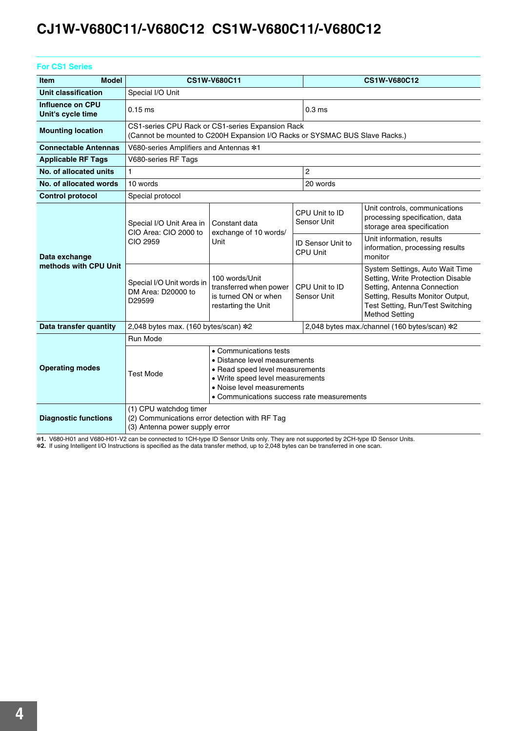| <b>For CS1 Series</b>                 |                                                                                                                                 |                                                                                                                                                                                                            |  |                                             |                                                                                                                                                                                                      |  |  |  |
|---------------------------------------|---------------------------------------------------------------------------------------------------------------------------------|------------------------------------------------------------------------------------------------------------------------------------------------------------------------------------------------------------|--|---------------------------------------------|------------------------------------------------------------------------------------------------------------------------------------------------------------------------------------------------------|--|--|--|
| <b>Model</b><br><b>Item</b>           |                                                                                                                                 | CS1W-V680C11                                                                                                                                                                                               |  |                                             | <b>CS1W-V680C12</b>                                                                                                                                                                                  |  |  |  |
| Unit classification                   | Special I/O Unit                                                                                                                |                                                                                                                                                                                                            |  |                                             |                                                                                                                                                                                                      |  |  |  |
| Influence on CPU<br>Unit's cycle time | $0.15$ ms                                                                                                                       |                                                                                                                                                                                                            |  | 0.3 <sub>ms</sub>                           |                                                                                                                                                                                                      |  |  |  |
| <b>Mounting location</b>              | CS1-series CPU Rack or CS1-series Expansion Rack<br>(Cannot be mounted to C200H Expansion I/O Racks or SYSMAC BUS Slave Racks.) |                                                                                                                                                                                                            |  |                                             |                                                                                                                                                                                                      |  |  |  |
| <b>Connectable Antennas</b>           |                                                                                                                                 | V680-series Amplifiers and Antennas *1                                                                                                                                                                     |  |                                             |                                                                                                                                                                                                      |  |  |  |
| <b>Applicable RF Tags</b>             | V680-series RF Tags                                                                                                             |                                                                                                                                                                                                            |  |                                             |                                                                                                                                                                                                      |  |  |  |
| No. of allocated units                | $\mathbf{1}$                                                                                                                    |                                                                                                                                                                                                            |  | $\overline{2}$                              |                                                                                                                                                                                                      |  |  |  |
| No. of allocated words                | 10 words                                                                                                                        |                                                                                                                                                                                                            |  | 20 words                                    |                                                                                                                                                                                                      |  |  |  |
| <b>Control protocol</b>               | Special protocol                                                                                                                |                                                                                                                                                                                                            |  |                                             |                                                                                                                                                                                                      |  |  |  |
|                                       | Special I/O Unit Area in<br>CIO Area: CIO 2000 to                                                                               | Constant data<br>exchange of 10 words/                                                                                                                                                                     |  | CPU Unit to ID<br>Sensor Unit               | Unit controls, communications<br>processing specification, data<br>storage area specification                                                                                                        |  |  |  |
| Data exchange                         | CIO 2959                                                                                                                        | Unit                                                                                                                                                                                                       |  | <b>ID Sensor Unit to</b><br><b>CPU Unit</b> | Unit information, results<br>information, processing results<br>monitor                                                                                                                              |  |  |  |
| methods with CPU Unit                 | Special I/O Unit words in<br>DM Area: D20000 to<br>D29599                                                                       | 100 words/Unit<br>transferred when power<br>is turned ON or when<br>restarting the Unit                                                                                                                    |  | CPU Unit to ID<br>Sensor Unit               | System Settings, Auto Wait Time<br>Setting, Write Protection Disable<br>Setting, Antenna Connection<br>Setting, Results Monitor Output,<br>Test Setting, Run/Test Switching<br><b>Method Setting</b> |  |  |  |
| Data transfer quantity                | 2,048 bytes max. (160 bytes/scan) *2                                                                                            |                                                                                                                                                                                                            |  |                                             | 2,048 bytes max./channel (160 bytes/scan) *2                                                                                                                                                         |  |  |  |
|                                       | Run Mode                                                                                                                        |                                                                                                                                                                                                            |  |                                             |                                                                                                                                                                                                      |  |  |  |
| <b>Operating modes</b>                | <b>Test Mode</b>                                                                                                                | • Communications tests<br>• Distance level measurements<br>• Read speed level measurements<br>• Write speed level measurements<br>• Noise level measurements<br>• Communications success rate measurements |  |                                             |                                                                                                                                                                                                      |  |  |  |
| <b>Diagnostic functions</b>           | (1) CPU watchdog timer<br>(2) Communications error detection with RF Tag<br>(3) Antenna power supply error                      |                                                                                                                                                                                                            |  |                                             |                                                                                                                                                                                                      |  |  |  |

\*1. V680-H01 and V680-H01-V2 can be connected to 1CH-type ID Sensor Units only. They are not supported by 2CH-type ID Sensor Units.<br>\*2. If using Intelligent I/O Instructions is specified as the data transfer method, up to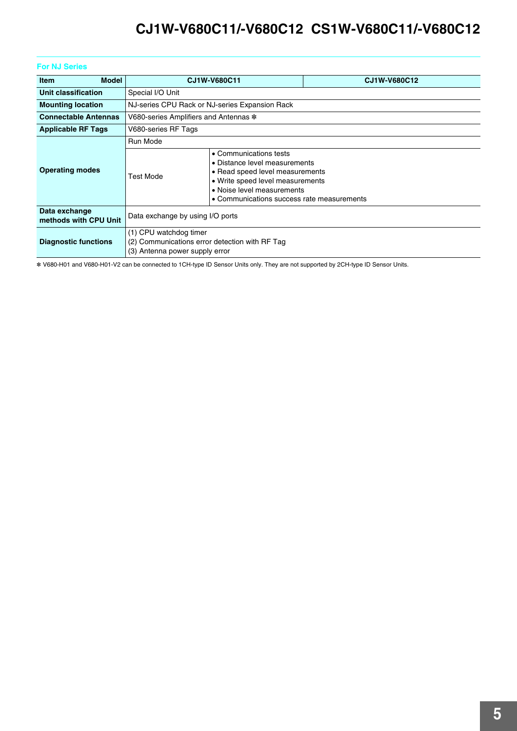### **For NJ Series**

| <b>Model</b><br><b>Item</b>            |                                                                                                            | CJ1W-V680C11                                                                                                                                                                                               | CJ1W-V680C12 |  |  |  |  |
|----------------------------------------|------------------------------------------------------------------------------------------------------------|------------------------------------------------------------------------------------------------------------------------------------------------------------------------------------------------------------|--------------|--|--|--|--|
| Unit classification                    | Special I/O Unit                                                                                           |                                                                                                                                                                                                            |              |  |  |  |  |
| <b>Mounting location</b>               |                                                                                                            | NJ-series CPU Rack or NJ-series Expansion Rack                                                                                                                                                             |              |  |  |  |  |
| <b>Connectable Antennas</b>            |                                                                                                            | V680-series Amplifiers and Antennas *                                                                                                                                                                      |              |  |  |  |  |
| <b>Applicable RF Tags</b>              | V680-series RF Tags                                                                                        |                                                                                                                                                                                                            |              |  |  |  |  |
|                                        | Run Mode                                                                                                   |                                                                                                                                                                                                            |              |  |  |  |  |
| <b>Operating modes</b>                 | <b>Test Mode</b>                                                                                           | • Communications tests<br>• Distance level measurements<br>• Read speed level measurements<br>• Write speed level measurements<br>• Noise level measurements<br>• Communications success rate measurements |              |  |  |  |  |
| Data exchange<br>methods with CPU Unit | Data exchange by using I/O ports                                                                           |                                                                                                                                                                                                            |              |  |  |  |  |
| <b>Diagnostic functions</b>            | (1) CPU watchdog timer<br>(2) Communications error detection with RF Tag<br>(3) Antenna power supply error |                                                                                                                                                                                                            |              |  |  |  |  |

\* V680-H01 and V680-H01-V2 can be connected to 1CH-type ID Sensor Units only. They are not supported by 2CH-type ID Sensor Units.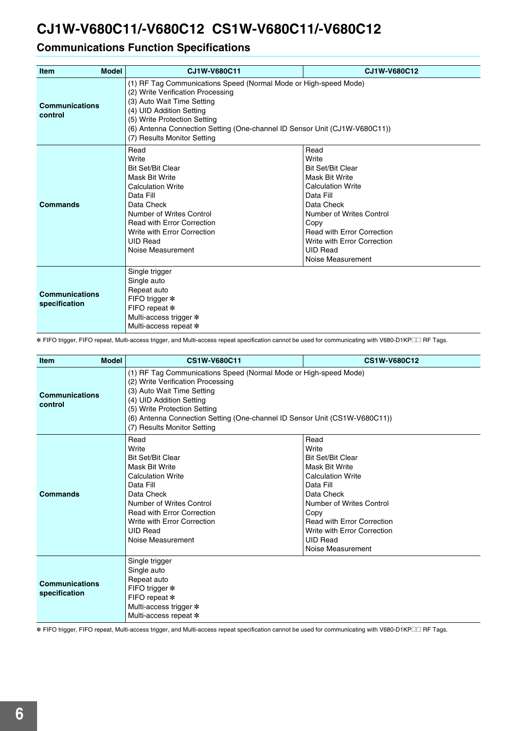## **Communications Function Specifications**

| <b>Model</b><br><b>Item</b>            | CJ1W-V680C11                                                                                                                                                                                                                                                                                                 | CJ1W-V680C12                                                                                                                                                                                                                                                       |  |  |  |  |
|----------------------------------------|--------------------------------------------------------------------------------------------------------------------------------------------------------------------------------------------------------------------------------------------------------------------------------------------------------------|--------------------------------------------------------------------------------------------------------------------------------------------------------------------------------------------------------------------------------------------------------------------|--|--|--|--|
| <b>Communications</b><br>control       | (1) RF Tag Communications Speed (Normal Mode or High-speed Mode)<br>(2) Write Verification Processing<br>(3) Auto Wait Time Setting<br>(4) UID Addition Setting<br>(5) Write Protection Setting<br>(6) Antenna Connection Setting (One-channel ID Sensor Unit (CJ1W-V680C11))<br>(7) Results Monitor Setting |                                                                                                                                                                                                                                                                    |  |  |  |  |
| <b>Commands</b>                        | Read<br>Write<br><b>Bit Set/Bit Clear</b><br>Mask Bit Write<br><b>Calculation Write</b><br>Data Fill<br>Data Check<br>Number of Writes Control<br><b>Read with Error Correction</b><br>Write with Error Correction<br><b>UID Read</b><br>Noise Measurement                                                   | Read<br>Write<br><b>Bit Set/Bit Clear</b><br>Mask Bit Write<br><b>Calculation Write</b><br>Data Fill<br>Data Check<br>Number of Writes Control<br>Copy<br><b>Read with Error Correction</b><br>Write with Error Correction<br><b>UID Read</b><br>Noise Measurement |  |  |  |  |
| <b>Communications</b><br>specification | Single trigger<br>Single auto<br>Repeat auto<br>FIFO trigger *<br>FIFO repeat *<br>Multi-access trigger *<br>Multi-access repeat *                                                                                                                                                                           |                                                                                                                                                                                                                                                                    |  |  |  |  |

\* FIFO trigger, FIFO repeat, Multi-access trigger, and Multi-access repeat specification cannot be used for communicating with V680-D1KP@@ RF Tags.

| Model<br>Item                    | CS1W-V680C11                                                                                                                                                                                                                                                                                                 | CS1W-V680C12                                                                                                                                                                                                                                                       |  |  |  |  |  |
|----------------------------------|--------------------------------------------------------------------------------------------------------------------------------------------------------------------------------------------------------------------------------------------------------------------------------------------------------------|--------------------------------------------------------------------------------------------------------------------------------------------------------------------------------------------------------------------------------------------------------------------|--|--|--|--|--|
| <b>Communications</b><br>control | (1) RF Tag Communications Speed (Normal Mode or High-speed Mode)<br>(2) Write Verification Processing<br>(3) Auto Wait Time Setting<br>(4) UID Addition Setting<br>(5) Write Protection Setting<br>(6) Antenna Connection Setting (One-channel ID Sensor Unit (CS1W-V680C11))<br>(7) Results Monitor Setting |                                                                                                                                                                                                                                                                    |  |  |  |  |  |
| <b>Commands</b>                  | Read<br>Write<br><b>Bit Set/Bit Clear</b><br><b>Mask Bit Write</b><br><b>Calculation Write</b><br>Data Fill<br>Data Check<br>Number of Writes Control<br><b>Read with Error Correction</b><br>Write with Error Correction<br><b>UID Read</b><br>Noise Measurement                                            | Read<br>Write<br><b>Bit Set/Bit Clear</b><br>Mask Bit Write<br><b>Calculation Write</b><br>Data Fill<br>Data Check<br>Number of Writes Control<br>Copy<br><b>Read with Error Correction</b><br>Write with Error Correction<br><b>UID Read</b><br>Noise Measurement |  |  |  |  |  |
| Communications<br>specification  | Single trigger<br>Single auto<br>Repeat auto<br>FIFO trigger *<br>FIFO repeat *<br>Multi-access trigger *<br>Multi-access repeat *                                                                                                                                                                           |                                                                                                                                                                                                                                                                    |  |  |  |  |  |

\* FIFO trigger, FIFO repeat, Multi-access trigger, and Multi-access repeat specification cannot be used for communicating with V680-D1KP@@ RF Tags.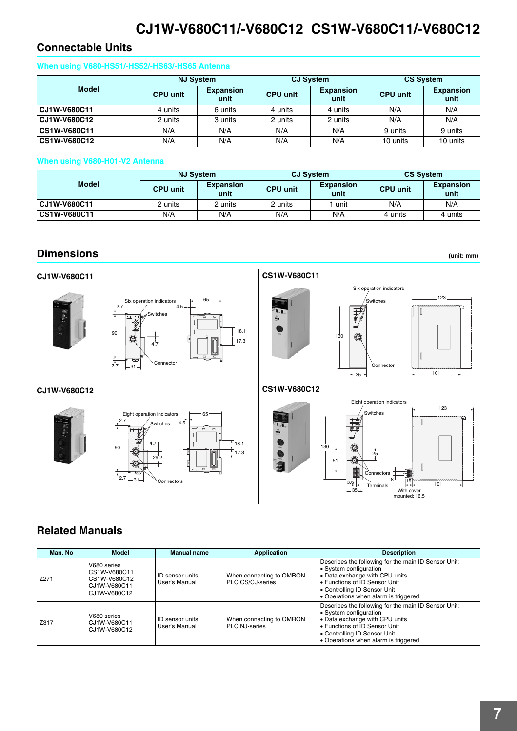### **Connectable Units**

### **When using V680-HS51/-HS52/-HS63/-HS65 Antenna**

|              | <b>NJ System</b> |                          |                 | <b>CJ System</b>         | <b>CS System</b> |                          |
|--------------|------------------|--------------------------|-----------------|--------------------------|------------------|--------------------------|
| <b>Model</b> | <b>CPU unit</b>  | <b>Expansion</b><br>unit | <b>CPU unit</b> | <b>Expansion</b><br>unit | <b>CPU unit</b>  | <b>Expansion</b><br>unit |
| CJ1W-V680C11 | 4 units          | 6 units                  | 4 units         | 4 units                  | N/A              | N/A                      |
| CJ1W-V680C12 | 2 units          | 3 units                  | 2 units         | 2 units                  | N/A              | N/A                      |
| CS1W-V680C11 | N/A              | N/A                      | N/A             | N/A                      | 9 units          | 9 units                  |
| CS1W-V680C12 | N/A              | N/A                      | N/A             | N/A                      | 10 units         | 10 units                 |

### **When using V680-H01-V2 Antenna**

|              | <b>NJ Svstem</b> |                          |                 | <b>CJ System</b>         | <b>CS System</b> |                          |
|--------------|------------------|--------------------------|-----------------|--------------------------|------------------|--------------------------|
| <b>Model</b> | <b>CPU unit</b>  | <b>Expansion</b><br>unit | <b>CPU unit</b> | <b>Expansion</b><br>unit | <b>CPU unit</b>  | <b>Expansion</b><br>unit |
| CJ1W-V680C11 | 2 units          | 2 units                  | 2 units         | unit                     | N/A              | N/A                      |
| CS1W-V680C11 | N/A              | N/A                      | N/A             | N/A                      | 4 units          | 4 units                  |

### **Dimensions**

**(unit: mm)**







### **Related Manuals**

| Man. No | Model                                                                       | Manual name                      | Application                                      | <b>Description</b>                                                                                                                                                                                                        |
|---------|-----------------------------------------------------------------------------|----------------------------------|--------------------------------------------------|---------------------------------------------------------------------------------------------------------------------------------------------------------------------------------------------------------------------------|
| Z271    | V680 series<br>CS1W-V680C11<br>CS1W-V680C12<br>CJ1W-V680C11<br>CJ1W-V680C12 | ID sensor units<br>User's Manual | When connecting to OMRON<br>PLC CS/CJ-series     | Describes the following for the main ID Sensor Unit:<br>• System configuration<br>• Data exchange with CPU units<br>• Functions of ID Sensor Unit<br>• Controlling ID Sensor Unit<br>• Operations when alarm is triggered |
| Z317    | V680 series<br>CJ1W-V680C11<br>CJ1W-V680C12                                 | ID sensor units<br>User's Manual | When connecting to OMRON<br><b>PLC NJ-series</b> | Describes the following for the main ID Sensor Unit:<br>• System configuration<br>• Data exchange with CPU units<br>• Functions of ID Sensor Unit<br>• Controlling ID Sensor Unit<br>• Operations when alarm is triggered |